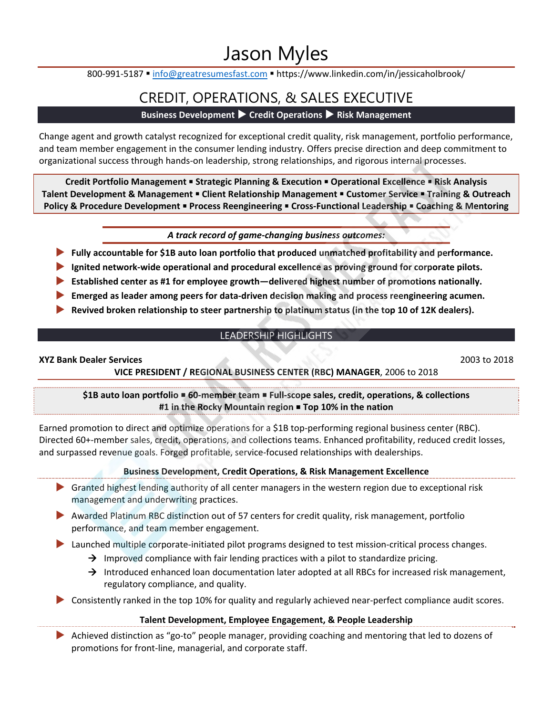# Jason Myles

800-991-5187 · info@greatresumesfast.com · https://www.linkedin.com/in/jessicaholbrook/

## CREDIT, OPERATIONS, & SALES EXECUTIVE

## **Business Development ▶ Credit Operations ▶ Risk Management**

Change agent and growth catalyst recognized for exceptional credit quality, risk management, portfolio performance, and team member engagement in the consumer lending industry. Offers precise direction and deep commitment to organizational success through hands‐on leadership, strong relationships, and rigorous internal processes.

**Credit Portfolio Management Strategic Planning & Execution Operational Excellence Risk Analysis Talent Development & Management Client Relationship Management Customer Service Training & Outreach Policy & Procedure Development Process Reengineering Cross‐Functional Leadership Coaching & Mentoring** 

*A track record of game‐changing business outcomes:* 

- **▶ Fully accountable for \$1B auto loan portfolio that produced unmatched profitability and performance.**
- **▶ Ignited network‐wide operational and procedural excellence as proving ground for corporate pilots.**
- **▶ Established center as #1 for employee growth—delivered highest number of promotions nationally.**
- ▶ **Emerged as leader among peers for data-driven decision making and process reengineering acumen.**
- **▶ Revived broken relationship to steer partnership to platinum status (in the top 10 of 12K dealers).**

## LEADERSHIP HIGHLIGHTS

#### **XYZ Bank Dealer Services** 2003 to 2018

## **VICE PRESIDENT / REGIONAL BUSINESS CENTER (RBC) MANAGER**, 2006 to 2018

## **\$1B auto loan portfolio 60‐member team Full‐scope sales, credit, operations, & collections #1 in the Rocky Mountain region Top 10% in the nation**

Earned promotion to direct and optimize operations for a \$1B top-performing regional business center (RBC). Directed 60+‐member sales, credit, operations, and collections teams. Enhanced profitability, reduced credit losses, and surpassed revenue goals. Forged profitable, service‐focused relationships with dealerships.

## **Business Development, Credit Operations, & Risk Management Excellence**

- **▶** Granted highest lending authority of all center managers in the western region due to exceptional risk management and underwriting practices.
- **▶** Awarded Platinum RBC distinction out of 57 centers for credit quality, risk management, portfolio performance, and team member engagement.

▶ Launched multiple corporate-initiated pilot programs designed to test mission-critical process changes.

- $\rightarrow$  Improved compliance with fair lending practices with a pilot to standardize pricing.
- $\rightarrow$  Introduced enhanced loan documentation later adopted at all RBCs for increased risk management, regulatory compliance, and quality.
- ▶ Consistently ranked in the top 10% for quality and regularly achieved near-perfect compliance audit scores.

## **Talent Development, Employee Engagement, & People Leadership**

▶ Achieved distinction as "go-to" people manager, providing coaching and mentoring that led to dozens of promotions for front‐line, managerial, and corporate staff.